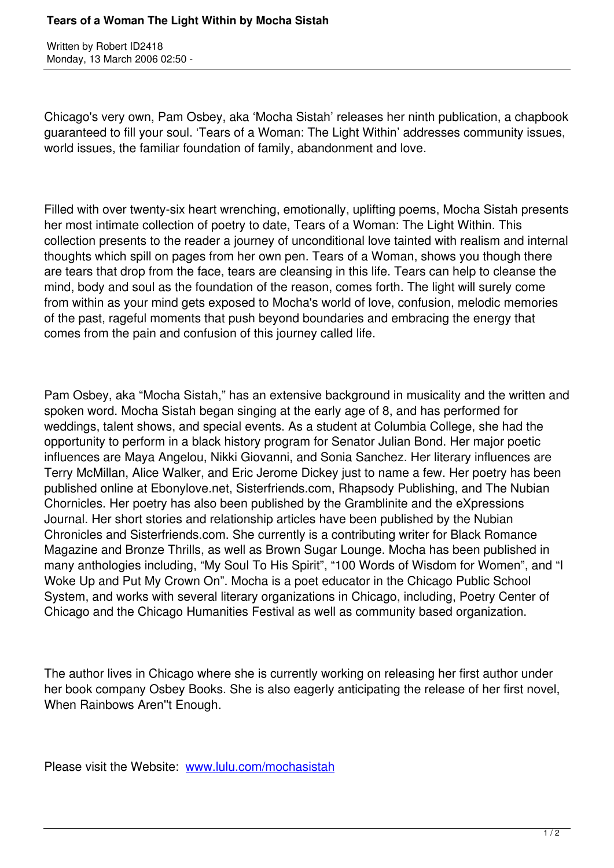Chicago's very own, Pam Osbey, aka 'Mocha Sistah' releases her ninth publication, a chapbook guaranteed to fill your soul. 'Tears of a Woman: The Light Within' addresses community issues, world issues, the familiar foundation of family, abandonment and love.

Filled with over twenty-six heart wrenching, emotionally, uplifting poems, Mocha Sistah presents her most intimate collection of poetry to date, Tears of a Woman: The Light Within. This collection presents to the reader a journey of unconditional love tainted with realism and internal thoughts which spill on pages from her own pen. Tears of a Woman, shows you though there are tears that drop from the face, tears are cleansing in this life. Tears can help to cleanse the mind, body and soul as the foundation of the reason, comes forth. The light will surely come from within as your mind gets exposed to Mocha's world of love, confusion, melodic memories of the past, rageful moments that push beyond boundaries and embracing the energy that comes from the pain and confusion of this journey called life.

Pam Osbey, aka "Mocha Sistah," has an extensive background in musicality and the written and spoken word. Mocha Sistah began singing at the early age of 8, and has performed for weddings, talent shows, and special events. As a student at Columbia College, she had the opportunity to perform in a black history program for Senator Julian Bond. Her major poetic influences are Maya Angelou, Nikki Giovanni, and Sonia Sanchez. Her literary influences are Terry McMillan, Alice Walker, and Eric Jerome Dickey just to name a few. Her poetry has been published online at Ebonylove.net, Sisterfriends.com, Rhapsody Publishing, and The Nubian Chornicles. Her poetry has also been published by the Gramblinite and the eXpressions Journal. Her short stories and relationship articles have been published by the Nubian Chronicles and Sisterfriends.com. She currently is a contributing writer for Black Romance Magazine and Bronze Thrills, as well as Brown Sugar Lounge. Mocha has been published in many anthologies including, "My Soul To His Spirit", "100 Words of Wisdom for Women", and "I Woke Up and Put My Crown On". Mocha is a poet educator in the Chicago Public School System, and works with several literary organizations in Chicago, including, Poetry Center of Chicago and the Chicago Humanities Festival as well as community based organization.

The author lives in Chicago where she is currently working on releasing her first author under her book company Osbey Books. She is also eagerly anticipating the release of her first novel, When Rainbows Aren''t Enough.

Please visit the Website: www.lulu.com/mochasistah